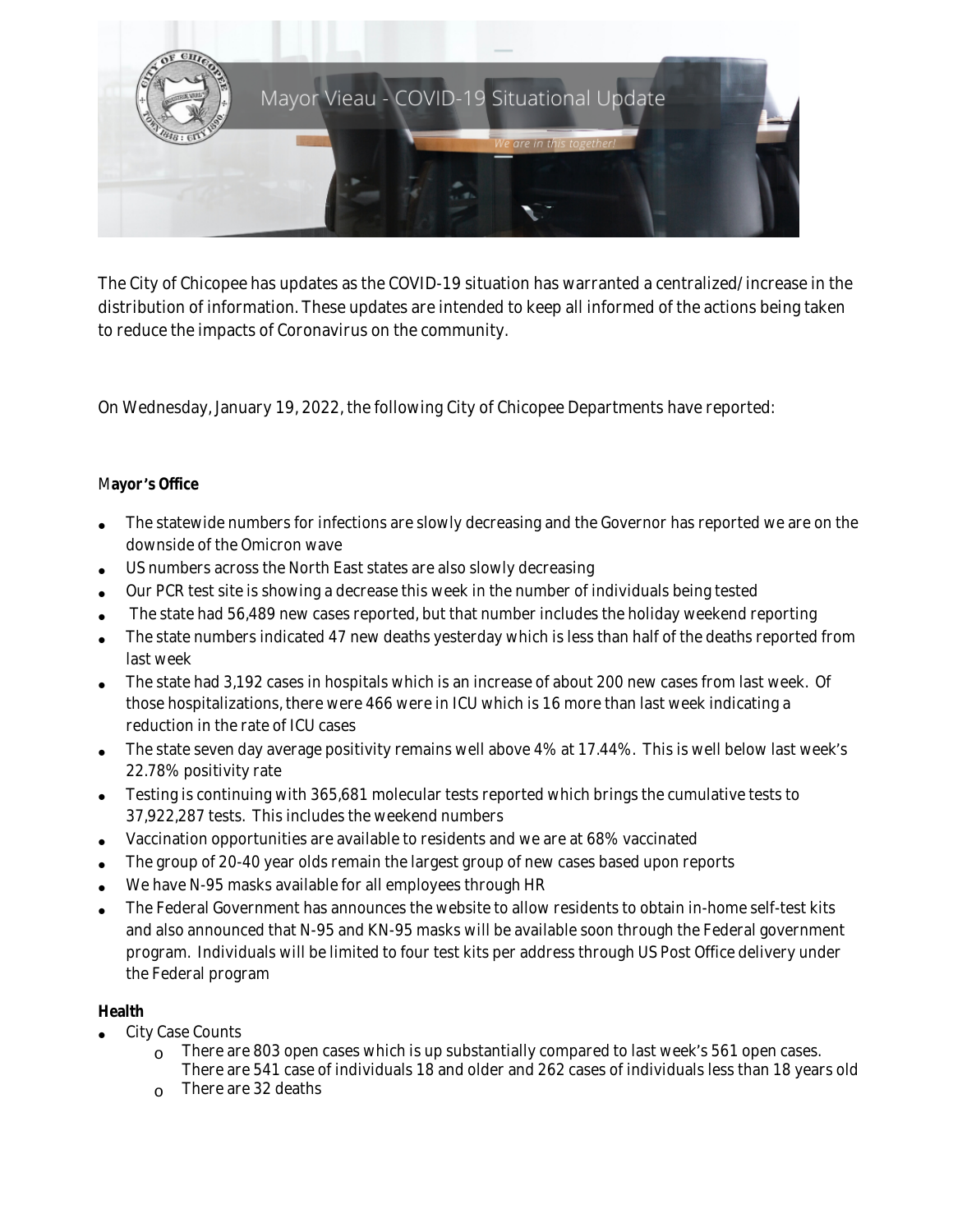

The City of Chicopee has updates as the COVID-19 situation has warranted a centralized/increase in the distribution of information. These updates are intended to keep all informed of the actions being taken to reduce the impacts of Coronavirus on the community.

On Wednesday, January 19, 2022, the following City of Chicopee Departments have reported:

## M**ayor** '**s Office**

- The statewide numbers for infections are slowly decreasing and the Governor has reported we are on the downside of the Omicron wave
- US numbers across the North East states are also slowly decreasing
- Our PCR test site is showing a decrease this week in the number of individuals being tested
- The state had 56,489 new cases reported, but that number includes the holiday weekend reporting
- The state numbers indicated 47 new deaths yesterday which is less than half of the deaths reported from last week
- The state had 3,192 cases in hospitals which is an increase of about 200 new cases from last week. Of those hospitalizations, there were 466 were in ICU which is 16 more than last week indicating a reduction in the rate of ICU cases
- The state seven day average positivity remains well above 4% at 17.44%. This is well below last week's 22.78% positivity rate
- Testing is continuing with 365,681 molecular tests reported which brings the cumulative tests to 37,922,287 tests. This includes the weekend numbers
- Vaccination opportunities are available to residents and we are at 68% vaccinated
- The group of 20-40 year olds remain the largest group of new cases based upon reports
- We have N-95 masks available for all employees through HR
- The Federal Government has announces the website to allow residents to obtain in-home self-test kits and also announced that N-95 and KN-95 masks will be available soon through the Federal government program. Individuals will be limited to four test kits per address through US Post Office delivery under the Federal program

## **Health**

- City Case Counts
	- o There are 803 open cases which is up substantially compared to last week's 561 open cases. There are 541 case of individuals 18 and older and 262 cases of individuals less than 18 years old
	- o There are 32 deaths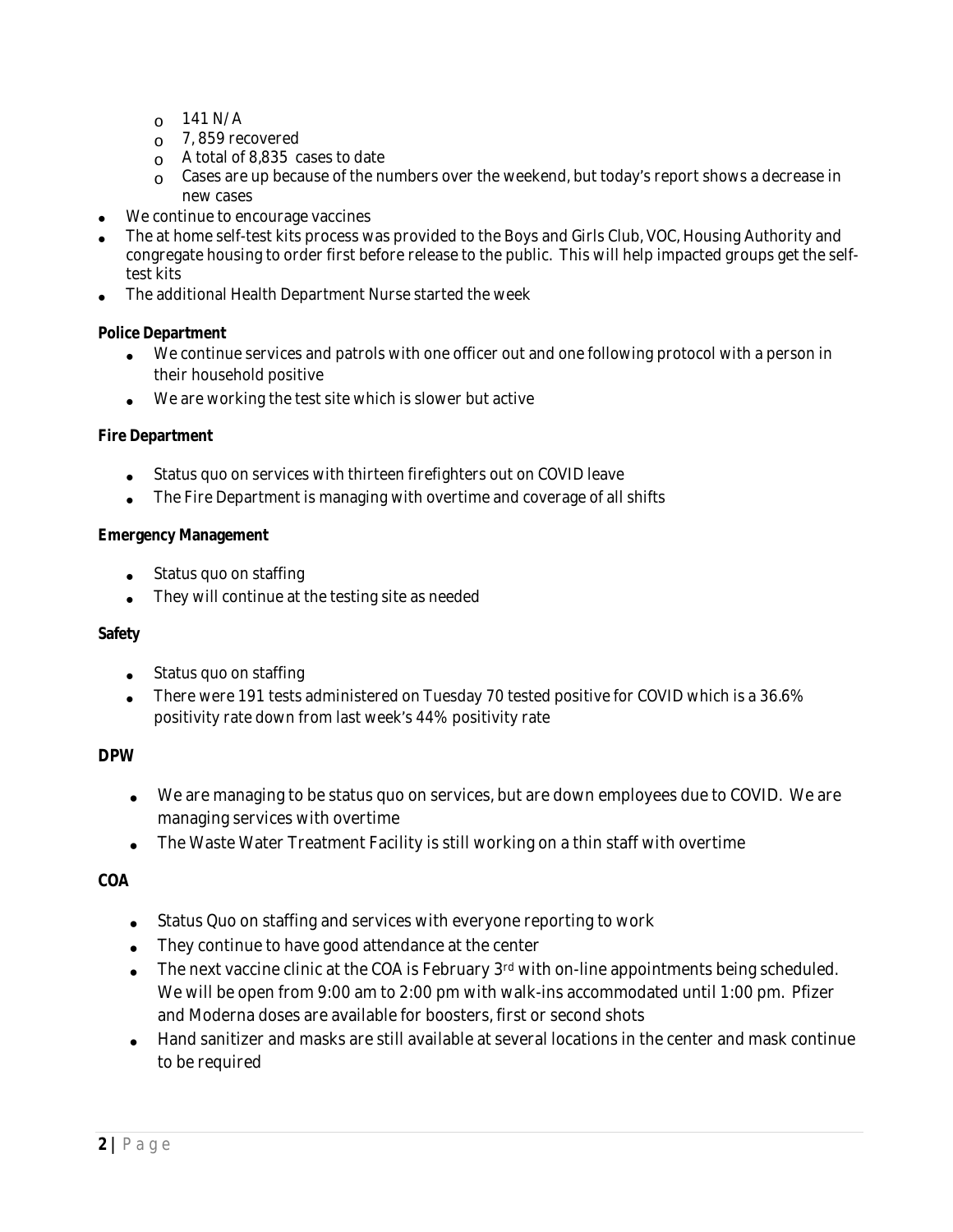- $_0$  141 N/A
- $\circ$  7, 859 recovered
- $\circ$  A total of 8,835 cases to date
- $\Omega$  Cases are up because of the numbers over the weekend, but today's report shows a decrease in new cases
- We continue to encourage vaccines
- The at home self-test kits process was provided to the Boys and Girls Club, VOC, Housing Authority and congregate housing to order first before release to the public. This will help impacted groups get the selftest kits
- The additional Health Department Nurse started the week

### **Police Department**

- We continue services and patrols with one officer out and one following protocol with a person in their household positive
- We are working the test site which is slower but active

### **Fire Department**

- Status quo on services with thirteen firefighters out on COVID leave
- The Fire Department is managing with overtime and coverage of all shifts

### **Emergency Management**

- Status quo on staffing
- They will continue at the testing site as needed

#### **Safety**

- Status quo on staffing
- There were 191 tests administered on Tuesday 70 tested positive for COVID which is a 36.6% positivity rate down from last week's 44% positivity rate

### **DPW**

- We are managing to be status quo on services, but are down employees due to COVID. We are managing services with overtime
- The Waste Water Treatment Facility is still working on a thin staff with overtime

## **COA**

- Status Quo on staffing and services with everyone reporting to work
- They continue to have good attendance at the center
- The next vaccine clinic at the COA is February 3<sup>rd</sup> with on-line appointments being scheduled. We will be open from 9:00 am to 2:00 pm with walk-ins accommodated until 1:00 pm. Pfizer and Moderna doses are available for boosters, first or second shots
- Hand sanitizer and masks are still available at several locations in the center and mask continue to be required